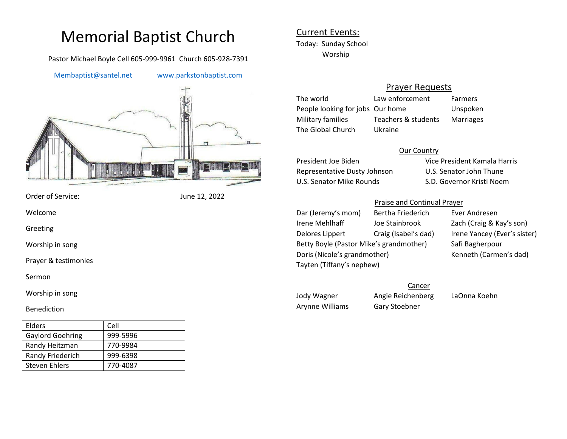# Memorial Baptist Church

Pastor Michael Boyle Cell 605-999-9961 Church 605-928-7391

[Membaptist@santel.net](mailto:Membaptist@santel.net) [www.parkstonbaptist.com](http://www.parkstonbaptist.com/)



Order of Service: June 12, 2022

Welcome

Greeting

Worship in song

Prayer & testimonies

Sermon

Worship in song

#### Benediction

| Elders                  | Cell     |
|-------------------------|----------|
| <b>Gaylord Goehring</b> | 999-5996 |
| Randy Heitzman          | 770-9984 |
| Randy Friederich        | 999-6398 |
| Steven Ehlers           | 770-4087 |

## Current Events: Today: Sunday School Worship

## Prayer Requests

The world Law enforcement Farmers People looking for jobs Our home Unspoken Military families Teachers & students Marriages The Global Church Ukraine

#### Our Country

Representative Dusty Johnson U.S. Senator John Thune U.S. Senator Mike Rounds S.D. Governor Kristi Noem

President Joe Biden Vice President Kamala Harris

### Praise and Continual Prayer

Dar (Jeremy's mom) Bertha Friederich Ever Andresen Irene Mehlhaff Joe Stainbrook Zach (Craig & Kay's son) Delores Lippert Craig (Isabel's dad) Irene Yancey (Ever's sister) Betty Boyle (Pastor Mike's grandmother) Safi Bagherpour Doris (Nicole's grandmother) Kenneth (Carmen's dad) Tayten (Tiffany's nephew)

Jody Wagner Angie Reichenberg LaOnna Koehn Arynne Williams Gary Stoebner

**Cancer**